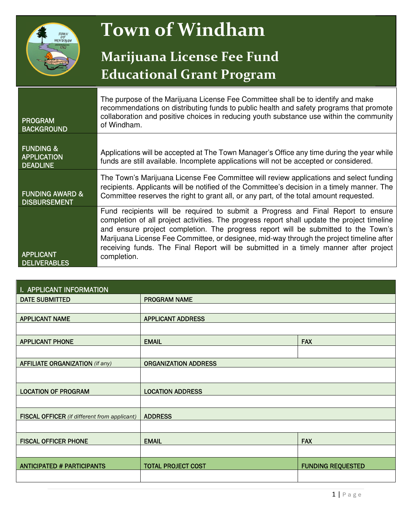

# **Town of Windham**

### **Marijuana License Fee Fund Educational Grant Program**

| <b>PROGRAM</b><br><b>BACKGROUND</b>                           | The purpose of the Marijuana License Fee Committee shall be to identify and make<br>recommendations on distributing funds to public health and safety programs that promote<br>collaboration and positive choices in reducing youth substance use within the community<br>of Windham.                                                                                                                                                                                    |
|---------------------------------------------------------------|--------------------------------------------------------------------------------------------------------------------------------------------------------------------------------------------------------------------------------------------------------------------------------------------------------------------------------------------------------------------------------------------------------------------------------------------------------------------------|
| <b>FUNDING &amp;</b><br><b>APPLICATION</b><br><b>DEADLINE</b> | Applications will be accepted at The Town Manager's Office any time during the year while<br>funds are still available. Incomplete applications will not be accepted or considered.                                                                                                                                                                                                                                                                                      |
| <b>FUNDING AWARD &amp;</b><br><b>DISBURSEMENT</b>             | The Town's Marijuana License Fee Committee will review applications and select funding<br>recipients. Applicants will be notified of the Committee's decision in a timely manner. The<br>Committee reserves the right to grant all, or any part, of the total amount requested.                                                                                                                                                                                          |
| <b>APPLICANT</b><br><b>DELIVERABLES</b>                       | Fund recipients will be required to submit a Progress and Final Report to ensure<br>completion of all project activities. The progress report shall update the project timeline<br>and ensure project completion. The progress report will be submitted to the Town's<br>Marijuana License Fee Committee, or designee, mid-way through the project timeline after<br>receiving funds. The Final Report will be submitted in a timely manner after project<br>completion. |

| I. APPLICANT INFORMATION                            |                             |                          |  |  |  |
|-----------------------------------------------------|-----------------------------|--------------------------|--|--|--|
| <b>DATE SUBMITTED</b>                               | <b>PROGRAM NAME</b>         |                          |  |  |  |
|                                                     |                             |                          |  |  |  |
| <b>APPLICANT NAME</b>                               | <b>APPLICANT ADDRESS</b>    |                          |  |  |  |
|                                                     |                             |                          |  |  |  |
| <b>APPLICANT PHONE</b>                              | <b>EMAIL</b>                | <b>FAX</b>               |  |  |  |
|                                                     |                             |                          |  |  |  |
| <b>AFFILIATE ORGANIZATION (if any)</b>              | <b>ORGANIZATION ADDRESS</b> |                          |  |  |  |
|                                                     |                             |                          |  |  |  |
| <b>LOCATION OF PROGRAM</b>                          | <b>LOCATION ADDRESS</b>     |                          |  |  |  |
|                                                     |                             |                          |  |  |  |
| <b>FISCAL OFFICER</b> (if different from applicant) | <b>ADDRESS</b>              |                          |  |  |  |
|                                                     |                             |                          |  |  |  |
| <b>FISCAL OFFICER PHONE</b>                         | <b>EMAIL</b>                | <b>FAX</b>               |  |  |  |
|                                                     |                             |                          |  |  |  |
| <b>ANTICIPATED # PARTICIPANTS</b>                   | <b>TOTAL PROJECT COST</b>   | <b>FUNDING REQUESTED</b> |  |  |  |
|                                                     |                             |                          |  |  |  |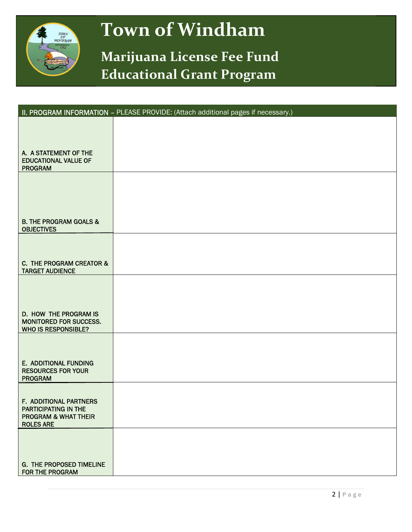

# **Town of Windham**

### **Marijuana License Fee Fund Educational Grant Program**

|                                                                                                       | II. PROGRAM INFORMATION - PLEASE PROVIDE: (Attach additional pages if necessary.) |
|-------------------------------------------------------------------------------------------------------|-----------------------------------------------------------------------------------|
| A. A STATEMENT OF THE<br><b>EDUCATIONAL VALUE OF</b><br><b>PROGRAM</b>                                |                                                                                   |
| <b>B. THE PROGRAM GOALS &amp;</b><br><b>OBJECTIVES</b>                                                |                                                                                   |
| C. THE PROGRAM CREATOR &<br><b>TARGET AUDIENCE</b>                                                    |                                                                                   |
| D. HOW THE PROGRAM IS<br>MONITORED FOR SUCCESS.<br><b>WHO IS RESPONSIBLE?</b>                         |                                                                                   |
| E. ADDITIONAL FUNDING<br><b>RESOURCES FOR YOUR</b><br><b>PROGRAM</b>                                  |                                                                                   |
| F. ADDITIONAL PARTNERS<br>PARTICIPATING IN THE<br><b>PROGRAM &amp; WHAT THEIR</b><br><b>ROLES ARE</b> |                                                                                   |
| <b>G. THE PROPOSED TIMELINE</b><br>FOR THE PROGRAM                                                    |                                                                                   |